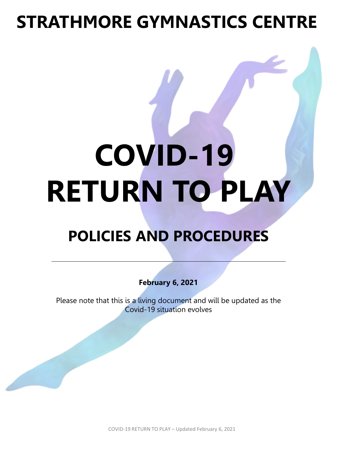# **STRATHMORE GYMNASTICS CENTRE**

# **COVID-19 RETURN TO PLAY**

### **POLICIES AND PROCEDURES**

**February 6, 2021**

Please note that this is a living document and will be updated as the Covid-19 situation evolves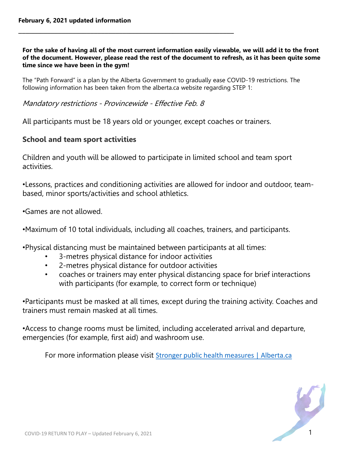#### **For the sake of having all of the most current information easily viewable, we will add it to the front of the document. However, please read the rest of the document to refresh, as it has been quite some time since we have been in the gym!**

The "Path Forward" is a plan by the Alberta Government to gradually ease COVID-19 restrictions. The following information has been taken from the alberta.ca website regarding STEP 1:

Mandatory restrictions - Provincewide - Effective Feb. 8

**\_\_\_\_\_\_\_\_\_\_\_\_\_\_\_\_\_\_\_\_\_\_\_\_\_\_\_\_\_\_\_\_\_\_\_\_\_\_\_\_\_\_\_\_\_\_\_\_\_\_\_\_\_\_\_\_\_\_\_\_**

All participants must be 18 years old or younger, except coaches or trainers.

#### **School and team sport activities**

Children and youth will be allowed to participate in limited school and team sport activities.

•Lessons, practices and conditioning activities are allowed for indoor and outdoor, teambased, minor sports/activities and school athletics.

•Games are not allowed.

•Maximum of 10 total individuals, including all coaches, trainers, and participants.

•Physical distancing must be maintained between participants at all times:

- 3-metres physical distance for indoor activities
- 2-metres physical distance for outdoor activities
- coaches or trainers may enter physical distancing space for brief interactions with participants (for example, to correct form or technique)

•Participants must be masked at all times, except during the training activity. Coaches and trainers must remain masked at all times.

•Access to change rooms must be limited, including accelerated arrival and departure, emergencies (for example, first aid) and washroom use.

For more information please visit [Stronger public health measures | Alberta.ca](https://www.alberta.ca/enhanced-public-health-measures.aspx#businessrestrictions)

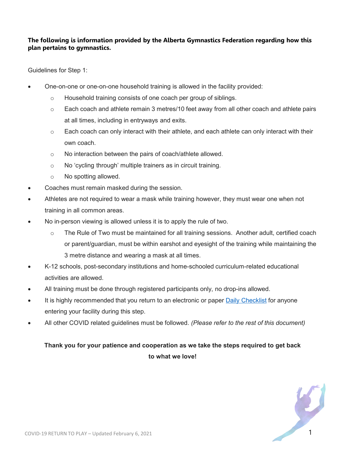#### **The following is information provided by the Alberta Gymnastics Federation regarding how this plan pertains to gymnastics.**

Guidelines for Step 1:

- One-on-one or one-on-one household training is allowed in the facility provided:
	- o Household training consists of one coach per group of siblings.
	- $\circ$  Each coach and athlete remain 3 metres/10 feet away from all other coach and athlete pairs at all times, including in entryways and exits.
	- $\circ$  Each coach can only interact with their athlete, and each athlete can only interact with their own coach.
	- o No interaction between the pairs of coach/athlete allowed.
	- o No 'cycling through' multiple trainers as in circuit training.
	- o No spotting allowed.
- Coaches must remain masked during the session.
- Athletes are not required to wear a mask while training however, they must wear one when not training in all common areas.
- No in-person viewing is allowed unless it is to apply the rule of two.
	- $\circ$  The Rule of Two must be maintained for all training sessions. Another adult, certified coach or parent/guardian, must be within earshot and eyesight of the training while maintaining the 3 metre distance and wearing a mask at all times.
- K-12 schools, post-secondary institutions and home-schooled curriculum-related educational activities are allowed.
- All training must be done through registered participants only, no drop-ins allowed.
- It is highly recommended that you return to an electronic or paper [Daily Checklist](https://abgym.us18.list-manage.com/track/click?u=dd3282bc9b2febd95da6344e4&id=5cc77dd657&e=3742b85740) for anyone entering your facility during this step.
- All other COVID related guidelines must be followed. *(Please refer to the rest of this document)*

#### **Thank you for your patience and cooperation as we take the steps required to get back to what we love!**

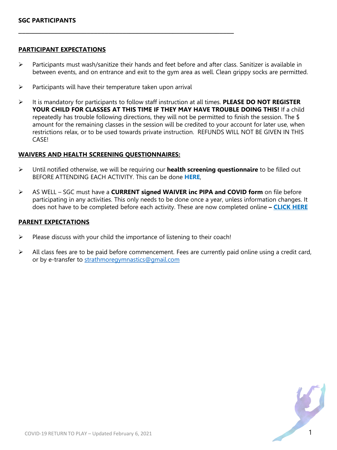#### **PARTICIPANT EXPECTATIONS**

- $\triangleright$  Participants must wash/sanitize their hands and feet before and after class. Sanitizer is available in between events, and on entrance and exit to the gym area as well. Clean grippy socks are permitted.
- $\triangleright$  Participants will have their temperature taken upon arrival

**\_\_\_\_\_\_\_\_\_\_\_\_\_\_\_\_\_\_\_\_\_\_\_\_\_\_\_\_\_\_\_\_\_\_\_\_\_\_\_\_\_\_\_\_\_\_\_\_\_\_\_\_\_\_\_\_\_\_\_\_**

 It is mandatory for participants to follow staff instruction at all times. **PLEASE DO NOT REGISTER YOUR CHILD FOR CLASSES AT THIS TIME IF THEY MAY HAVE TROUBLE DOING THIS!** If a child repeatedly has trouble following directions, they will not be permitted to finish the session. The \$ amount for the remaining classes in the session will be credited to your account for later use, when restrictions relax, or to be used towards private instruction. REFUNDS WILL NOT BE GIVEN IN THIS CASE!

#### **WAIVERS AND HEALTH SCREENING QUESTIONNAIRES:**

- Until notified otherwise, we will be requiring our **health screening questionnaire** to be filled out BEFORE ATTENDING EACH ACTIVITY. This can be done **HERE**,
- AS WELL SGC must have a **CURRENT signed WAIVER inc PIPA and COVID form** on file before participating in any activities. This only needs to be done once a year, unless information changes. It does not have to be completed before each activity. These are now completed online **– CLICK HERE**

#### **PARENT EXPECTATIONS**

- $\triangleright$  Please discuss with your child the importance of listening to their coach!
- $\triangleright$  All class fees are to be paid before commencement. Fees are currently paid online using a credit card, or by e-transfer to [strathmoregymnastics@gmail.com](mailto:strathmoregymnastics@gmail.com)

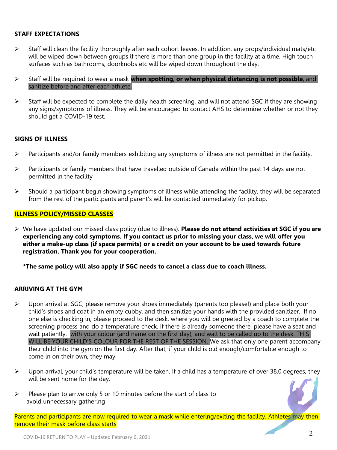#### **STAFF EXPECTATIONS**

- $\triangleright$  Staff will clean the facility thoroughly after each cohort leaves. In addition, any props/individual mats/etc will be wiped down between groups if there is more than one group in the facility at a time. High touch surfaces such as bathrooms, doorknobs etc will be wiped down throughout the day.
- Staff will be required to wear a mask **when spotting**, **or when physical distancing is not possible**, and sanitize before and after each athlete.
- $\triangleright$  Staff will be expected to complete the daily health screening, and will not attend SGC if they are showing any signs/symptoms of illness. They will be encouraged to contact AHS to determine whether or not they should get a COVID-19 test.

#### **SIGNS OF ILLNESS**

- $\triangleright$  Participants and/or family members exhibiting any symptoms of illness are not permitted in the facility.
- $\triangleright$  Participants or family members that have travelled outside of Canada within the past 14 days are not permitted in the facility
- $\triangleright$  Should a participant begin showing symptoms of illness while attending the facility, they will be separated from the rest of the participants and parent's will be contacted immediately for pickup.

#### **ILLNESS POLICY/MISSED CLASSES**

 We have updated our missed class policy (due to illness). **Please do not attend activities at SGC if you are experiencing any cold symptoms. If you contact us prior to missing your class, we will offer you either a make-up class (if space permits) or a credit on your account to be used towards future registration. Thank you for your cooperation.**

**\*The same policy will also apply if SGC needs to cancel a class due to coach illness.**

#### **ARRIVING AT THE GYM**

- $\triangleright$  Upon arrival at SGC, please remove your shoes immediately (parents too please!) and place both your child's shoes and coat in an empty cubby, and then sanitize your hands with the provided sanitizer. If no one else is checking in, please proceed to the desk, where you will be greeted by a coach to complete the screening process and do a temperature check. If there is already someone there, please have a seat and wait patiently. with your colour (and name on the first day), and wait to be called up to the desk. THIS WILL BE YOUR CHILD'S COLOUR FOR THE REST OF THE SESSION. We ask that only one parent accompany their child into the gym on the first day. After that, if your child is old enough/comfortable enough to come in on their own, they may.
- $\triangleright$  Upon arrival, your child's temperature will be taken. If a child has a temperature of over 38.0 degrees, they will be sent home for the day.
- $\triangleright$  Please plan to arrive only 5 or 10 minutes before the start of class to avoid unnecessary gathering

Parents and participants are now required to wear a mask while entering/exiting the facility. Athletes may then remove their mask before class starts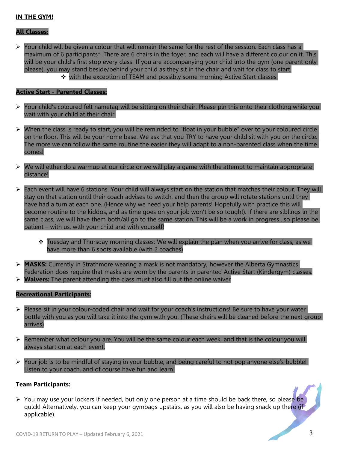#### **IN THE GYM!**

#### **All Classes:**

 $\triangleright$  Your child will be given a colour that will remain the same for the rest of the session. Each class has a maximum of 6 participants\*. There are 6 chairs in the foyer, and each will have a different colour on it. This will be your child's first stop every class! If you are accompanying your child into the gym (one parent only please), you may stand beside/behind your child as they sit in the chair and wait for class to start. with the exception of TEAM and possibly some morning Active Start classes.

#### **Active Start - Parented Classes:**

- $\triangleright$  Your child's coloured felt nametag will be sitting on their chair. Please pin this onto their clothing while you wait with your child at their chair.
- > When the class is ready to start, you will be reminded to "float in your bubble" over to your coloured circle on the floor. This will be your home base. We ask that you TRY to have your child sit with you on the circle. The more we can follow the same routine the easier they will adapt to a non-parented class when the time comes!
- $\triangleright$  We will either do a warmup at our circle or we will play a game with the attempt to maintain appropriate distance!
- $\triangleright$  Each event will have 6 stations. Your child will always start on the station that matches their colour. They will stay on that station until their coach advises to switch, and then the group will rotate stations until they have had a turn at each one. (Hence why we need your help parents! Hopefully with practice this will become routine to the kiddos, and as time goes on your job won't be so tough!). If there are siblings in the same class, we will have them both/all go to the same station. This will be a work in progress…so please be patient – with us, with your child and with yourself!
	- \* Tuesday and Thursday morning classes: We will explain the plan when you arrive for class, as we have more than 6 spots available (with 2 coaches)
- **MASKS:** Currently in Strathmore wearing a mask is not mandatory, however the Alberta Gymnastics Federation does require that masks are worn by the parents in parented Active Start (Kindergym) classes.
- **Waivers:** The parent attending the class must also fill out the online waiver

#### **Recreational Participants:**

- $\triangleright$  Please sit in your colour-coded chair and wait for your coach's instructions! Be sure to have your water bottle with you as you will take it into the gym with you. (These chairs will be cleaned before the next group arrives)
- $\triangleright$  Remember what colour you are. You will be the same colour each week, and that is the colour you will always start on at each event.
- Your job is to be mindful of staying in your bubble, and being careful to not pop anyone else's bubble! Listen to your coach, and of course have fun and learn!

#### **Team Participants:**

 $\triangleright$  You may use your lockers if needed, but only one person at a time should be back there, so please be quick! Alternatively, you can keep your gymbags upstairs, as you will also be having snack up there (if applicable).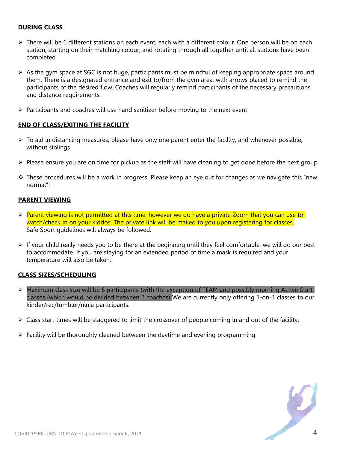#### **DURING CLASS**

- $\triangleright$  There will be 6 different stations on each event, each with a different colour. One person will be on each station, starting on their matching colour, and rotating through all together until all stations have been completed
- $\triangleright$  As the gym space at SGC is not huge, participants must be mindful of keeping appropriate space around them. There is a designated entrance and exit to/from the gym area, with arrows placed to remind the participants of the desired flow. Coaches will regularly remind participants of the necessary precautions and distance requirements.
- $\triangleright$  Participants and coaches will use hand sanitizer before moving to the next event

#### **END OF CLASS/EXITING THE FACILITY**

- $\triangleright$  To aid in distancing measures, please have only one parent enter the facility, and whenever possible, without siblings
- $\triangleright$  Please ensure you are on time for pickup as the staff will have cleaning to get done before the next group
- $\cdot \cdot$  These procedures will be a work in progress! Please keep an eye out for changes as we navigate this "new normal"!

#### **PARENT VIEWING**

- $\triangleright$  Parent viewing is not permitted at this time, however we do have a private Zoom that you can use to watch/check in on your kiddos. The private link will be mailed to you upon registering for classes. Safe Sport guidelines will always be followed.
- $\triangleright$  If your child really needs you to be there at the beginning until they feel comfortable, we will do our best to accommodate. If you are staying for an extended period of time a mask is required and your temperature will also be taken.

#### **CLASS SIZES/SCHEDULING**

- $\triangleright$  Maximum class size will be 6 participants (with the exception of TEAM and possibly morning Active Start classes (which would be divided between 2 coaches) We are currently only offering 1-on-1 classes to our kinder/rec/tumbler/ninja participants.
- $\triangleright$  Class start times will be staggered to limit the crossover of people coming in and out of the facility.
- $\triangleright$  Facility will be thoroughly cleaned between the daytime and evening programming.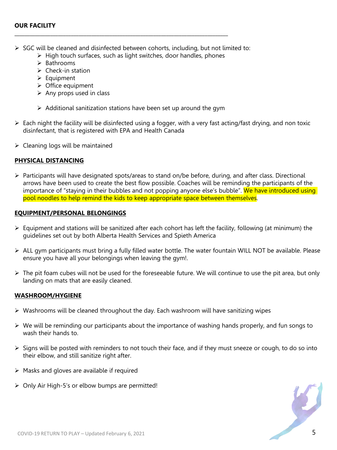$\triangleright$  SGC will be cleaned and disinfected between cohorts, including, but not limited to:

**\_\_\_\_\_\_\_\_\_\_\_\_\_\_\_\_\_\_\_\_\_\_\_\_\_\_\_\_\_\_\_\_\_\_\_\_\_\_\_\_\_\_\_\_\_\_\_\_\_\_\_\_\_\_\_\_\_\_\_\_\_\_\_\_\_\_\_\_\_\_\_\_\_\_\_\_\_\_\_\_\_\_\_**

- $\triangleright$  High touch surfaces, such as light switches, door handles, phones
- $\triangleright$  Bathrooms
- $\triangleright$  Check-in station
- $\triangleright$  Equipment
- $\triangleright$  Office equipment
- $\triangleright$  Any props used in class
- $\triangleright$  Additional sanitization stations have been set up around the gym
- $\triangleright$  Each night the facility will be disinfected using a fogger, with a very fast acting/fast drying, and non toxic disinfectant, that is registered with EPA and Health Canada
- $\triangleright$  Cleaning logs will be maintained

#### **PHYSICAL DISTANCING**

 $\triangleright$  Participants will have designated spots/areas to stand on/be before, during, and after class. Directional arrows have been used to create the best flow possible. Coaches will be reminding the participants of the importance of "staying in their bubbles and not popping anyone else's bubble". We have introduced using pool noodles to help remind the kids to keep appropriate space between themselves.

#### **EQUIPMENT/PERSONAL BELONGINGS**

- $\triangleright$  Equipment and stations will be sanitized after each cohort has left the facility, following (at minimum) the guidelines set out by both Alberta Health Services and Spieth America
- $\triangleright$  ALL gym participants must bring a fully filled water bottle. The water fountain WILL NOT be available. Please ensure you have all your belongings when leaving the gym!.
- $\triangleright$  The pit foam cubes will not be used for the foreseeable future. We will continue to use the pit area, but only landing on mats that are easily cleaned.

#### **WASHROOM/HYGIENE**

- $\triangleright$  Washrooms will be cleaned throughout the day. Each washroom will have sanitizing wipes
- $\triangleright$  We will be reminding our participants about the importance of washing hands properly, and fun songs to wash their hands to.
- $\triangleright$  Signs will be posted with reminders to not touch their face, and if they must sneeze or cough, to do so into their elbow, and still sanitize right after.
- $\triangleright$  Masks and gloves are available if required
- $\triangleright$  Only Air High-5's or elbow bumps are permitted!